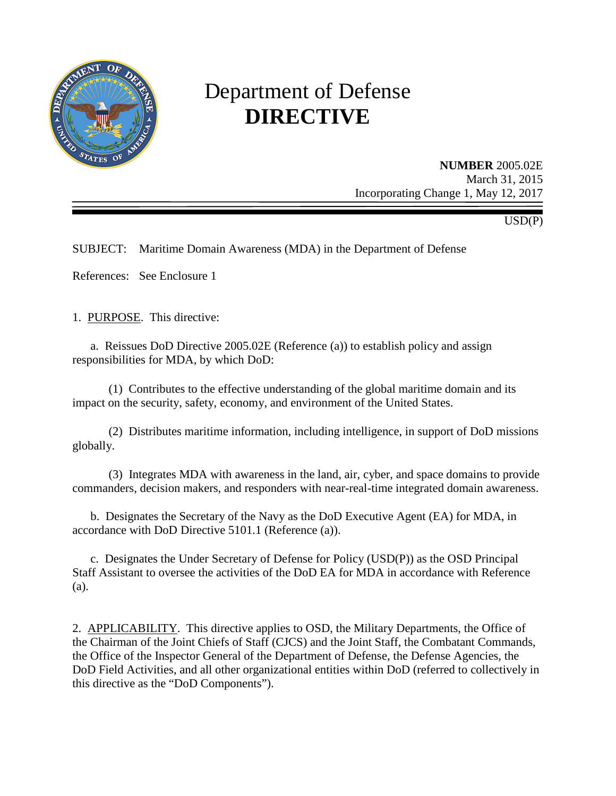

# Department of Defense **DIRECTIVE**

**NUMBER** 2005.02E March 31, 2015 Incorporating Change 1, May 12, 2017

USD(P)

SUBJECT: Maritime Domain Awareness (MDA) in the Department of Defense

References: See Enclosure 1

1. PURPOSE. This directive:

a. Reissues DoD Directive 2005.02E (Reference (a)) to establish policy and assign responsibilities for MDA, by which DoD:

 (1) Contributes to the effective understanding of the global maritime domain and its impact on the security, safety, economy, and environment of the United States.

 (2) Distributes maritime information, including intelligence, in support of DoD missions globally.

 (3) Integrates MDA with awareness in the land, air, cyber, and space domains to provide commanders, decision makers, and responders with near-real-time integrated domain awareness.

 b. Designates the Secretary of the Navy as the DoD Executive Agent (EA) for MDA, in accordance with DoD Directive 5101.1 (Reference (a)).

 c. Designates the Under Secretary of Defense for Policy (USD(P)) as the OSD Principal Staff Assistant to oversee the activities of the DoD EA for MDA in accordance with Reference (a).

2. APPLICABILITY. This directive applies to OSD, the Military Departments, the Office of the Chairman of the Joint Chiefs of Staff (CJCS) and the Joint Staff, the Combatant Commands, the Office of the Inspector General of the Department of Defense, the Defense Agencies, the DoD Field Activities, and all other organizational entities within DoD (referred to collectively in this directive as the "DoD Components").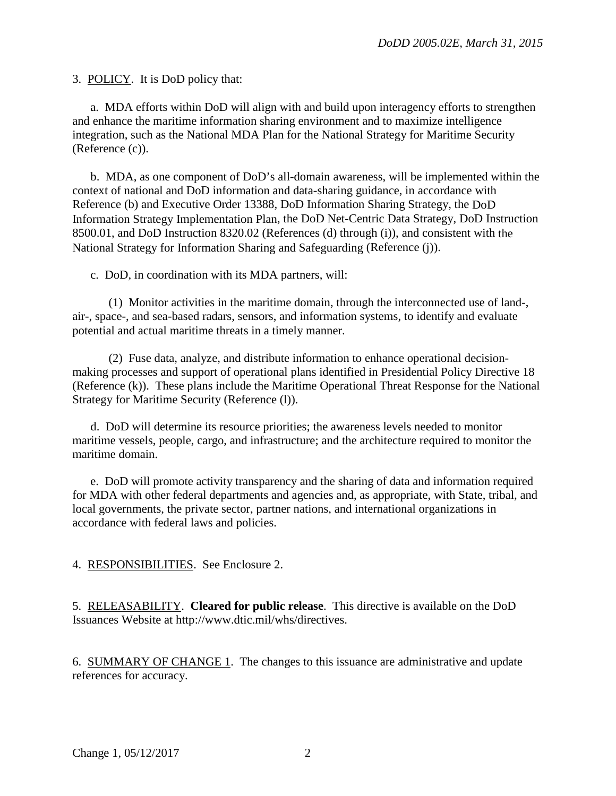3. POLICY. It is DoD policy that:

a. MDA efforts within DoD will align with and build upon interagency efforts to strengthen and enhance the maritime information sharing environment and to maximize intelligence integration, such as the National MDA Plan for the National Strategy for Maritime Security (Reference (c)).

 b. MDA, as one component of DoD's all-domain awareness, will be implemented within the context of national and DoD information and data-sharing guidance, in accordance with Reference (b) and Executive Order 13388, DoD Information Sharing Strategy, the DoD Information Strategy Implementation Plan, the DoD Net-Centric Data Strategy, DoD Instruction 8500.01, and DoD Instruction 8320.02 (References (d) through (i)), and consistent with the National Strategy for Information Sharing and Safeguarding (Reference (j)).

c. DoD, in coordination with its MDA partners, will:

(1) Monitor activities in the maritime domain, through the interconnected use of land-, air-, space-, and sea-based radars, sensors, and information systems, to identify and evaluate potential and actual maritime threats in a timely manner.

(2) Fuse data, analyze, and distribute information to enhance operational decisionmaking processes and support of operational plans identified in Presidential Policy Directive 18 (Reference (k)). These plans include the Maritime Operational Threat Response for the National Strategy for Maritime Security (Reference (l)).

 d. DoD will determine its resource priorities; the awareness levels needed to monitor maritime vessels, people, cargo, and infrastructure; and the architecture required to monitor the maritime domain.

e. DoD will promote activity transparency and the sharing of data and information required for MDA with other federal departments and agencies and, as appropriate, with State, tribal, and local governments, the private sector, partner nations, and international organizations in accordance with federal laws and policies.

4. RESPONSIBILITIES. See Enclosure 2.

5. RELEASABILITY. **Cleared for public release**. This directive is available on the DoD Issuances Website at http://www.dtic.mil/whs/directives.

6. SUMMARY OF CHANGE 1. The changes to this issuance are administrative and update references for accuracy.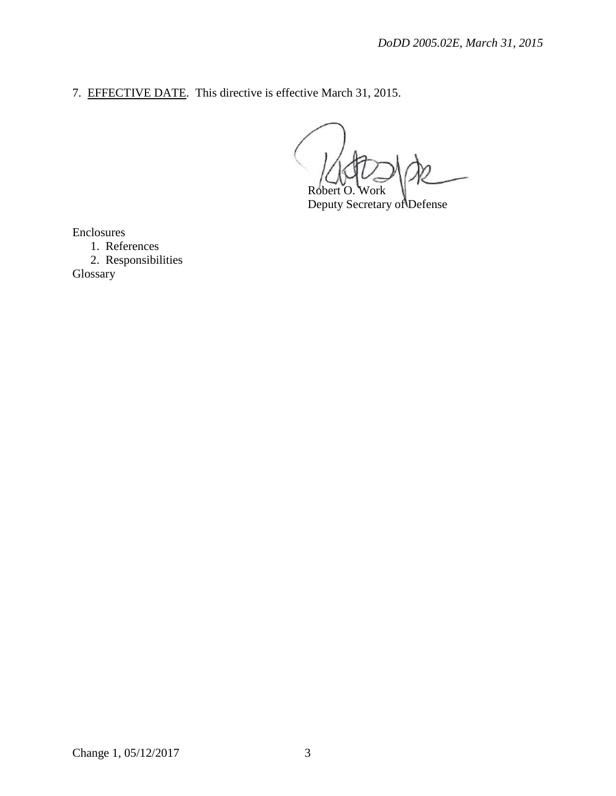7. EFFECTIVE DATE. This directive is effective March 31, 2015.

Robert O. Work

Deputy Secretary of Defense

Enclosures

1. References 2. Responsibilities Glossary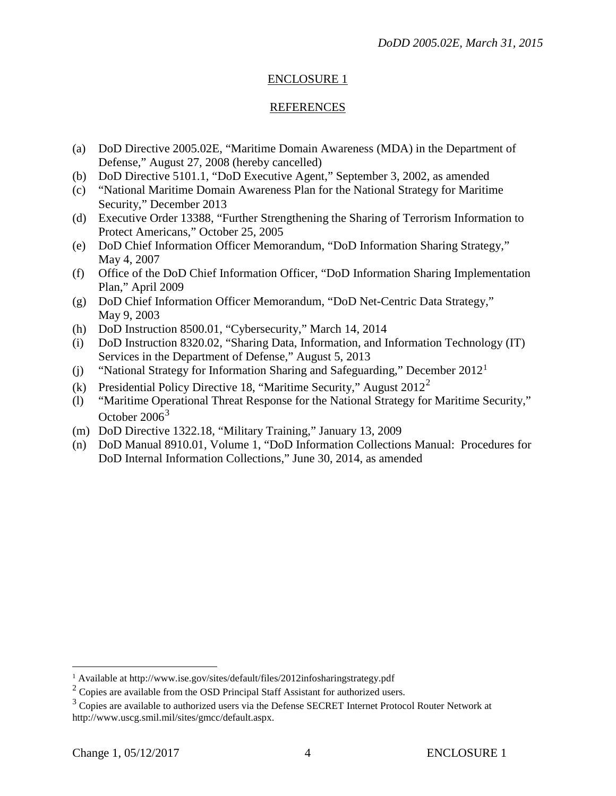## ENCLOSURE 1

#### REFERENCES

- (a) DoD Directive 2005.02E, "Maritime Domain Awareness (MDA) in the Department of Defense," August 27, 2008 (hereby cancelled)
- (b) DoD Directive 5101.1, "DoD Executive Agent," September 3, 2002, as amended
- (c) "National Maritime Domain Awareness Plan for the National Strategy for Maritime Security," December 2013
- (d) Executive Order 13388, "Further Strengthening the Sharing of Terrorism Information to Protect Americans," October 25, 2005
- (e) DoD Chief Information Officer Memorandum, "DoD Information Sharing Strategy," May 4, 2007
- (f) Office of the DoD Chief Information Officer, "DoD Information Sharing Implementation Plan," April 2009
- (g) DoD Chief Information Officer Memorandum, "DoD Net-Centric Data Strategy," May 9, 2003
- (h) DoD Instruction 8500.01, "Cybersecurity," March 14, 2014
- (i) DoD Instruction 8320.02, "Sharing Data, Information, and Information Technology (IT) Services in the Department of Defense," August 5, 2013
- (j) "National Strategy for Information Sharing and Safeguarding," December  $2012<sup>1</sup>$  $2012<sup>1</sup>$  $2012<sup>1</sup>$
- (k) Presidential Policy Directive 18, "Maritime Security," August  $2012^2$  $2012^2$
- (l) "Maritime Operational Threat Response for the National Strategy for Maritime Security," October 2006<sup>[3](#page-3-2)</sup>
- (m) DoD Directive 1322.18, "Military Training," January 13, 2009
- (n) DoD Manual 8910.01, Volume 1, "DoD Information Collections Manual: Procedures for DoD Internal Information Collections," June 30, 2014, as amended

 $\overline{a}$ 

<sup>&</sup>lt;sup>1</sup> Available at http://www.ise.gov/sites/default/files/2012infosharingstrategy.pdf

<span id="page-3-1"></span><span id="page-3-0"></span><sup>2</sup> Copies are available from the OSD Principal Staff Assistant for authorized users.

<span id="page-3-2"></span> $3$  Copies are available to authorized users via the Defense SECRET Internet Protocol Router Network at http://www.uscg.smil.mil/sites/gmcc/default.aspx.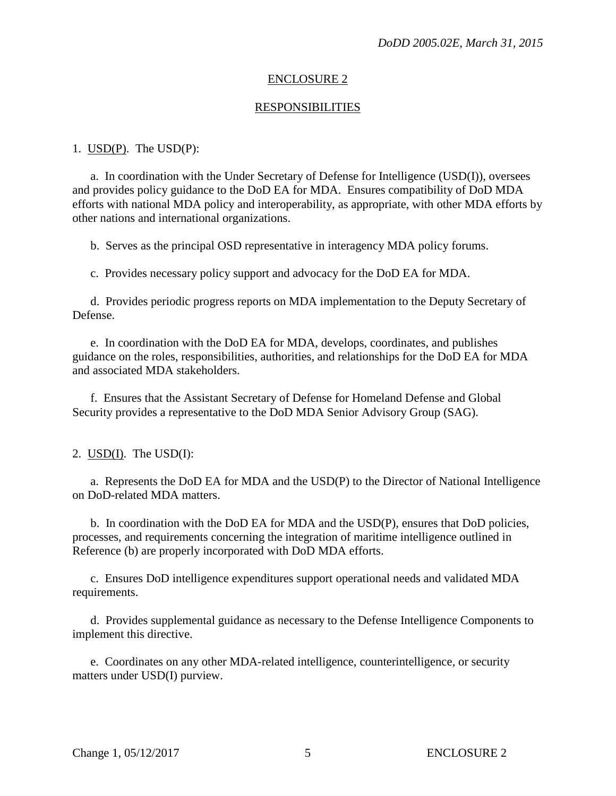#### ENCLOSURE 2

#### RESPONSIBILITIES

#### 1. USD(P). The USD(P):

a. In coordination with the Under Secretary of Defense for Intelligence (USD(I)), oversees and provides policy guidance to the DoD EA for MDA. Ensures compatibility of DoD MDA efforts with national MDA policy and interoperability, as appropriate, with other MDA efforts by other nations and international organizations.

b. Serves as the principal OSD representative in interagency MDA policy forums.

c. Provides necessary policy support and advocacy for the DoD EA for MDA.

 d. Provides periodic progress reports on MDA implementation to the Deputy Secretary of Defense.

e. In coordination with the DoD EA for MDA, develops, coordinates, and publishes guidance on the roles, responsibilities, authorities, and relationships for the DoD EA for MDA and associated MDA stakeholders.

 f. Ensures that the Assistant Secretary of Defense for Homeland Defense and Global Security provides a representative to the DoD MDA Senior Advisory Group (SAG).

2. USD(I). The USD(I):

a. Represents the DoD EA for MDA and the USD(P) to the Director of National Intelligence on DoD-related MDA matters.

 b. In coordination with the DoD EA for MDA and the USD(P), ensures that DoD policies, processes, and requirements concerning the integration of maritime intelligence outlined in Reference (b) are properly incorporated with DoD MDA efforts.

 c. Ensures DoD intelligence expenditures support operational needs and validated MDA requirements.

 d. Provides supplemental guidance as necessary to the Defense Intelligence Components to implement this directive.

 e. Coordinates on any other MDA-related intelligence, counterintelligence, or security matters under USD(I) purview.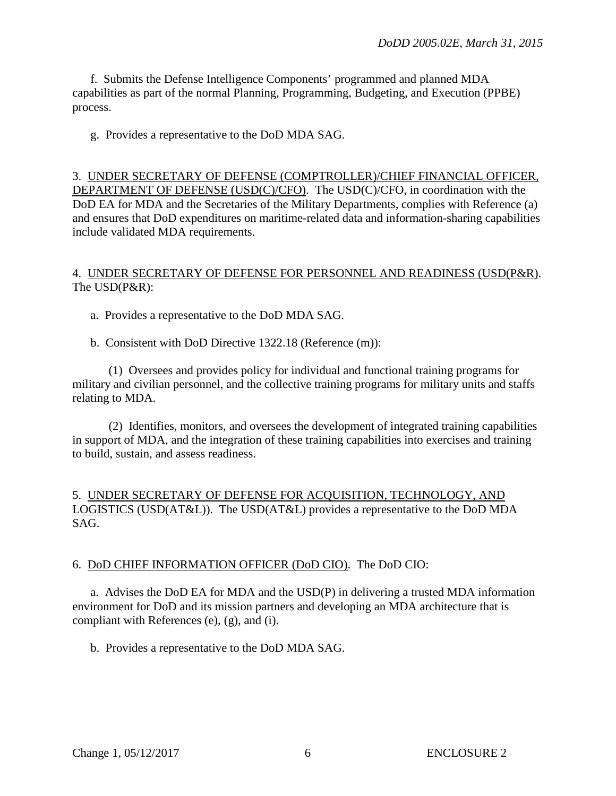f. Submits the Defense Intelligence Components' programmed and planned MDA capabilities as part of the normal Planning, Programming, Budgeting, and Execution (PPBE) process.

g. Provides a representative to the DoD MDA SAG.

3. UNDER SECRETARY OF DEFENSE (COMPTROLLER)/CHIEF FINANCIAL OFFICER, DEPARTMENT OF DEFENSE (USD(C)/CFO). The USD(C)/CFO, in coordination with the DoD EA for MDA and the Secretaries of the Military Departments, complies with Reference (a) and ensures that DoD expenditures on maritime-related data and information-sharing capabilities include validated MDA requirements.

## 4. UNDER SECRETARY OF DEFENSE FOR PERSONNEL AND READINESS (USD(P&R). The USD(P&R):

a. Provides a representative to the DoD MDA SAG.

b. Consistent with DoD Directive 1322.18 (Reference (m)):

 (1) Oversees and provides policy for individual and functional training programs for military and civilian personnel, and the collective training programs for military units and staffs relating to MDA.

 (2) Identifies, monitors, and oversees the development of integrated training capabilities in support of MDA, and the integration of these training capabilities into exercises and training to build, sustain, and assess readiness.

## 5. UNDER SECRETARY OF DEFENSE FOR ACQUISITION, TECHNOLOGY, AND LOGISTICS (USD(AT&L)). The USD(AT&L) provides a representative to the DoD MDA SAG.

## 6. DoD CHIEF INFORMATION OFFICER (DoD CIO). The DoD CIO:

a. Advises the DoD EA for MDA and the USD(P) in delivering a trusted MDA information environment for DoD and its mission partners and developing an MDA architecture that is compliant with References (e), (g), and (i).

b. Provides a representative to the DoD MDA SAG.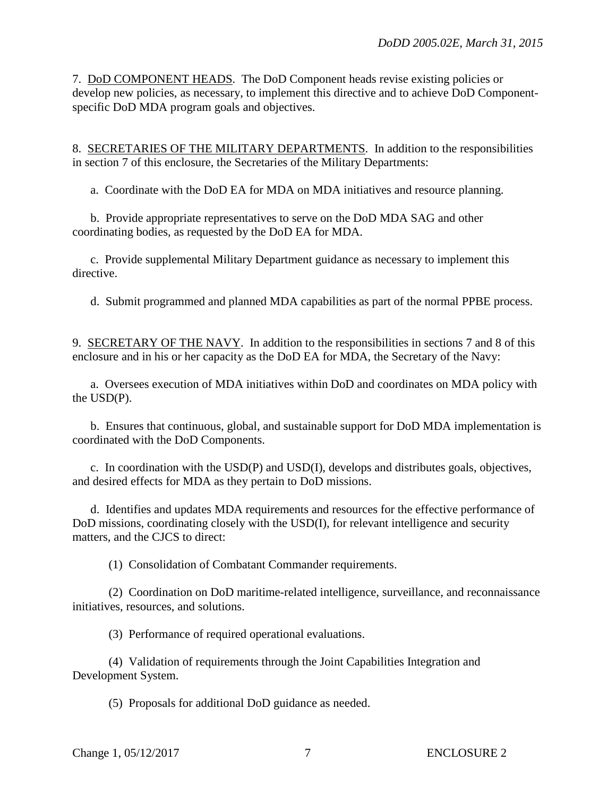7. DoD COMPONENT HEADS. The DoD Component heads revise existing policies or develop new policies, as necessary, to implement this directive and to achieve DoD Componentspecific DoD MDA program goals and objectives.

8. SECRETARIES OF THE MILITARY DEPARTMENTS. In addition to the responsibilities in section 7 of this enclosure, the Secretaries of the Military Departments:

a. Coordinate with the DoD EA for MDA on MDA initiatives and resource planning.

 b. Provide appropriate representatives to serve on the DoD MDA SAG and other coordinating bodies, as requested by the DoD EA for MDA.

 c. Provide supplemental Military Department guidance as necessary to implement this directive.

d. Submit programmed and planned MDA capabilities as part of the normal PPBE process.

9. SECRETARY OF THE NAVY. In addition to the responsibilities in sections 7 and 8 of this enclosure and in his or her capacity as the DoD EA for MDA, the Secretary of the Navy:

a. Oversees execution of MDA initiatives within DoD and coordinates on MDA policy with the USD(P).

 b. Ensures that continuous, global, and sustainable support for DoD MDA implementation is coordinated with the DoD Components.

 c. In coordination with the USD(P) and USD(I), develops and distributes goals, objectives, and desired effects for MDA as they pertain to DoD missions.

 d. Identifies and updates MDA requirements and resources for the effective performance of DoD missions, coordinating closely with the USD(I), for relevant intelligence and security matters, and the CJCS to direct:

(1) Consolidation of Combatant Commander requirements.

 (2) Coordination on DoD maritime-related intelligence, surveillance, and reconnaissance initiatives, resources, and solutions.

(3) Performance of required operational evaluations.

 (4) Validation of requirements through the Joint Capabilities Integration and Development System.

(5) Proposals for additional DoD guidance as needed.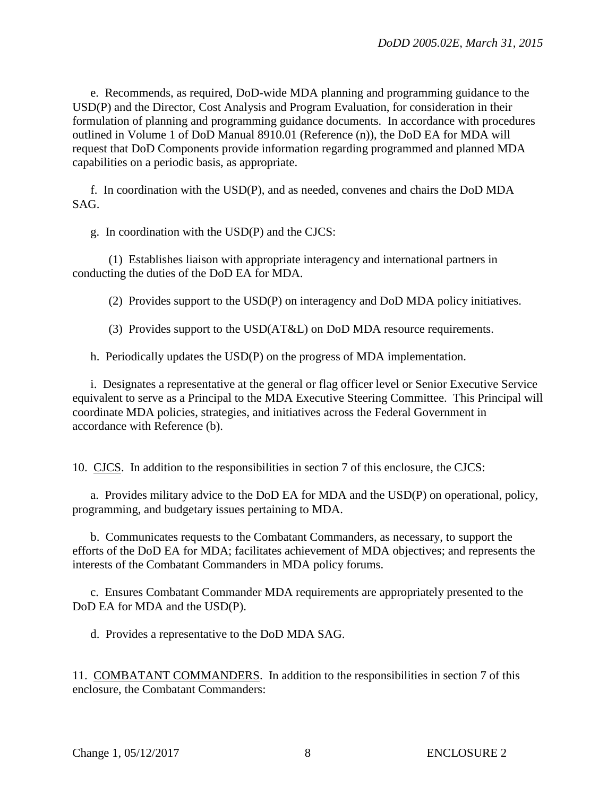e. Recommends, as required, DoD-wide MDA planning and programming guidance to the USD(P) and the Director, Cost Analysis and Program Evaluation, for consideration in their formulation of planning and programming guidance documents. In accordance with procedures outlined in Volume 1 of DoD Manual 8910.01 (Reference (n)), the DoD EA for MDA will request that DoD Components provide information regarding programmed and planned MDA capabilities on a periodic basis, as appropriate.

 f. In coordination with the USD(P), and as needed, convenes and chairs the DoD MDA SAG.

g. In coordination with the USD(P) and the CJCS:

 (1) Establishes liaison with appropriate interagency and international partners in conducting the duties of the DoD EA for MDA.

(2) Provides support to the USD(P) on interagency and DoD MDA policy initiatives.

(3) Provides support to the USD(AT&L) on DoD MDA resource requirements.

h. Periodically updates the USD(P) on the progress of MDA implementation.

 i. Designates a representative at the general or flag officer level or Senior Executive Service equivalent to serve as a Principal to the MDA Executive Steering Committee. This Principal will coordinate MDA policies, strategies, and initiatives across the Federal Government in accordance with Reference (b).

10. CJCS. In addition to the responsibilities in section 7 of this enclosure, the CJCS:

 a. Provides military advice to the DoD EA for MDA and the USD(P) on operational, policy, programming, and budgetary issues pertaining to MDA.

 b. Communicates requests to the Combatant Commanders, as necessary, to support the efforts of the DoD EA for MDA; facilitates achievement of MDA objectives; and represents the interests of the Combatant Commanders in MDA policy forums.

 c. Ensures Combatant Commander MDA requirements are appropriately presented to the DoD EA for MDA and the USD(P).

d. Provides a representative to the DoD MDA SAG.

11. COMBATANT COMMANDERS. In addition to the responsibilities in section 7 of this enclosure, the Combatant Commanders: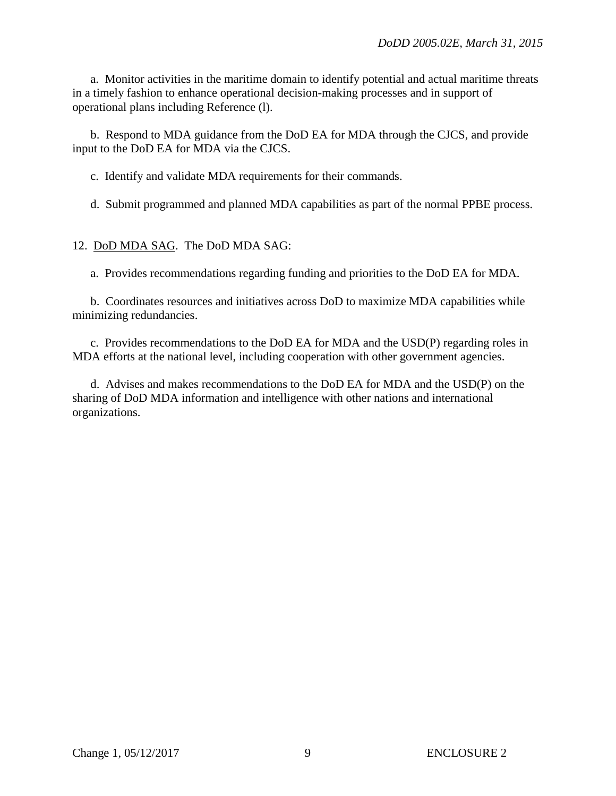a. Monitor activities in the maritime domain to identify potential and actual maritime threats in a timely fashion to enhance operational decision-making processes and in support of operational plans including Reference (l).

 b. Respond to MDA guidance from the DoD EA for MDA through the CJCS, and provide input to the DoD EA for MDA via the CJCS.

c. Identify and validate MDA requirements for their commands.

d. Submit programmed and planned MDA capabilities as part of the normal PPBE process.

12. DoD MDA SAG. The DoD MDA SAG:

a. Provides recommendations regarding funding and priorities to the DoD EA for MDA.

 b. Coordinates resources and initiatives across DoD to maximize MDA capabilities while minimizing redundancies.

 c. Provides recommendations to the DoD EA for MDA and the USD(P) regarding roles in MDA efforts at the national level, including cooperation with other government agencies.

 d. Advises and makes recommendations to the DoD EA for MDA and the USD(P) on the sharing of DoD MDA information and intelligence with other nations and international organizations.